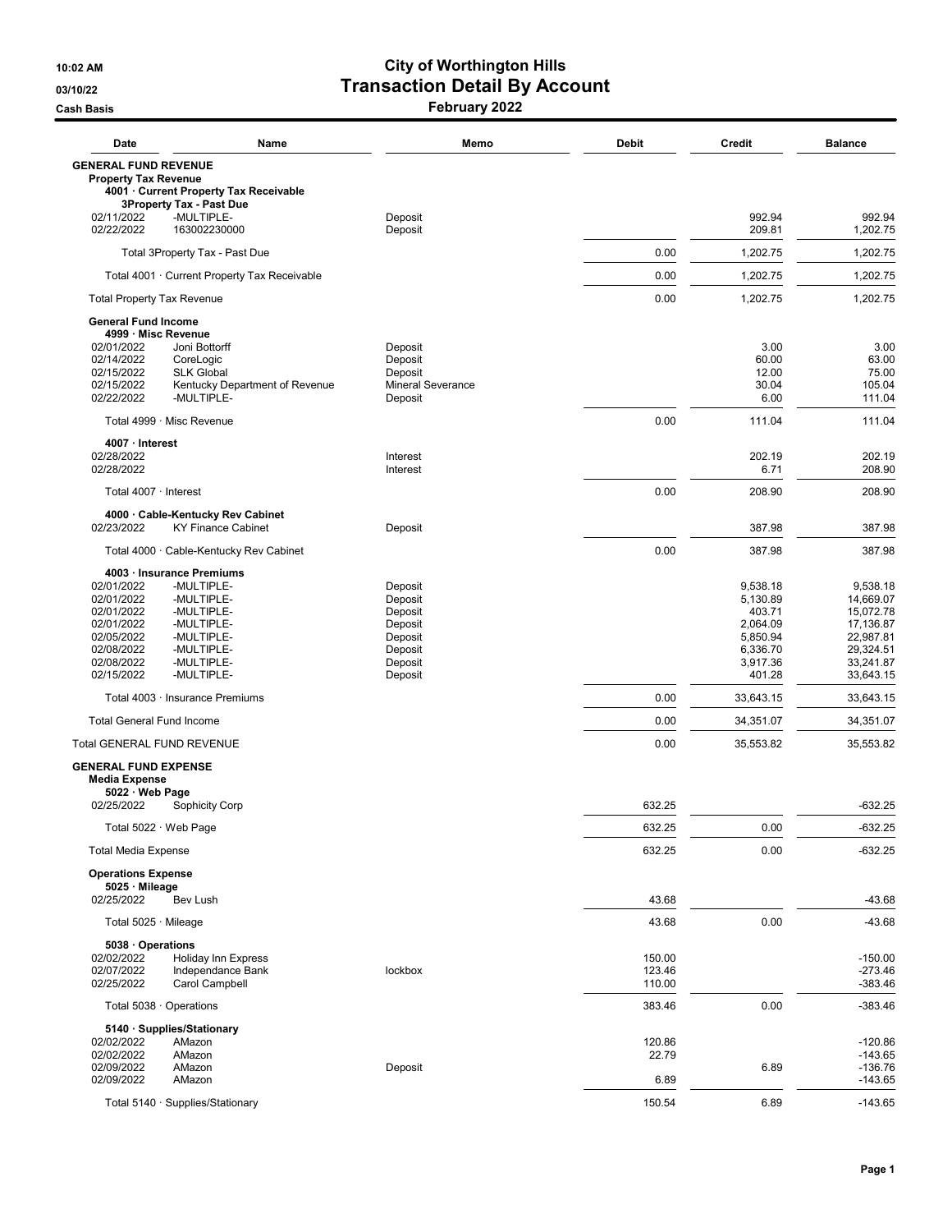## 10:02 AM City of Worthington Hills 03/10/22 **Transaction Detail By Account** Cash Basis **February 2022**

| Date                                                                                                         | Name                                                                                                         | Memo                                                                                 | <b>Debit</b>               | <b>Credit</b>                                                                            | <b>Balance</b>                                                                                      |
|--------------------------------------------------------------------------------------------------------------|--------------------------------------------------------------------------------------------------------------|--------------------------------------------------------------------------------------|----------------------------|------------------------------------------------------------------------------------------|-----------------------------------------------------------------------------------------------------|
| <b>GENERAL FUND REVENUE</b><br><b>Property Tax Revenue</b>                                                   | 4001 Current Property Tax Receivable                                                                         |                                                                                      |                            |                                                                                          |                                                                                                     |
| 02/11/2022<br>02/22/2022                                                                                     | <b>3Property Tax - Past Due</b><br>-MULTIPLE-<br>163002230000                                                | Deposit<br>Deposit                                                                   |                            | 992.94<br>209.81                                                                         | 992.94<br>1,202.75                                                                                  |
|                                                                                                              | Total 3Property Tax - Past Due                                                                               |                                                                                      | 0.00                       | 1,202.75                                                                                 | 1,202.75                                                                                            |
|                                                                                                              | Total 4001 · Current Property Tax Receivable                                                                 |                                                                                      | 0.00                       | 1,202.75                                                                                 | 1,202.75                                                                                            |
| <b>Total Property Tax Revenue</b>                                                                            |                                                                                                              |                                                                                      | 0.00                       | 1,202.75                                                                                 | 1,202.75                                                                                            |
| <b>General Fund Income</b>                                                                                   |                                                                                                              |                                                                                      |                            |                                                                                          |                                                                                                     |
| 4999 · Misc Revenue<br>02/01/2022<br>02/14/2022<br>02/15/2022<br>02/15/2022<br>02/22/2022                    | Joni Bottorff<br>CoreLogic<br><b>SLK Global</b><br>Kentucky Department of Revenue<br>-MULTIPLE-              | Deposit<br>Deposit<br>Deposit<br><b>Mineral Severance</b><br>Deposit                 |                            | 3.00<br>60.00<br>12.00<br>30.04<br>6.00                                                  | 3.00<br>63.00<br>75.00<br>105.04<br>111.04                                                          |
| Total 4999 · Misc Revenue                                                                                    |                                                                                                              |                                                                                      | 0.00                       | 111.04                                                                                   | 111.04                                                                                              |
| 4007 · Interest                                                                                              |                                                                                                              |                                                                                      |                            |                                                                                          |                                                                                                     |
| 02/28/2022<br>02/28/2022                                                                                     |                                                                                                              | Interest<br>Interest                                                                 |                            | 202.19<br>6.71                                                                           | 202.19<br>208.90                                                                                    |
| Total 4007 · Interest                                                                                        |                                                                                                              |                                                                                      | 0.00                       | 208.90                                                                                   | 208.90                                                                                              |
| 02/23/2022                                                                                                   | 4000 · Cable-Kentucky Rev Cabinet<br><b>KY Finance Cabinet</b>                                               | Deposit                                                                              |                            | 387.98                                                                                   | 387.98                                                                                              |
|                                                                                                              | Total 4000 · Cable-Kentucky Rev Cabinet                                                                      |                                                                                      | 0.00                       | 387.98                                                                                   | 387.98                                                                                              |
| 4003 · Insurance Premiums                                                                                    |                                                                                                              |                                                                                      |                            |                                                                                          |                                                                                                     |
| 02/01/2022<br>02/01/2022<br>02/01/2022<br>02/01/2022<br>02/05/2022<br>02/08/2022<br>02/08/2022<br>02/15/2022 | -MULTIPLE-<br>-MULTIPLE-<br>-MULTIPLE-<br>-MULTIPLE-<br>-MULTIPLE-<br>-MULTIPLE-<br>-MULTIPLE-<br>-MULTIPLE- | Deposit<br>Deposit<br>Deposit<br>Deposit<br>Deposit<br>Deposit<br>Deposit<br>Deposit |                            | 9,538.18<br>5,130.89<br>403.71<br>2,064.09<br>5,850.94<br>6,336.70<br>3,917.36<br>401.28 | 9,538.18<br>14,669.07<br>15,072.78<br>17,136.87<br>22,987.81<br>29,324.51<br>33,241.87<br>33,643.15 |
|                                                                                                              | Total 4003 · Insurance Premiums                                                                              |                                                                                      | 0.00                       | 33,643.15                                                                                | 33,643.15                                                                                           |
| <b>Total General Fund Income</b>                                                                             |                                                                                                              |                                                                                      | 0.00                       | 34,351.07                                                                                | 34,351.07                                                                                           |
| <b>Total GENERAL FUND REVENUE</b>                                                                            |                                                                                                              |                                                                                      | 0.00                       | 35,553.82                                                                                | 35,553.82                                                                                           |
| <b>GENERAL FUND EXPENSE</b><br><b>Media Expense</b><br>5022 · Web Page                                       |                                                                                                              |                                                                                      |                            |                                                                                          |                                                                                                     |
| 02/25/2022                                                                                                   | <b>Sophicity Corp</b>                                                                                        |                                                                                      | 632.25                     |                                                                                          | $-632.25$                                                                                           |
| Total 5022 · Web Page                                                                                        |                                                                                                              |                                                                                      | 632.25                     | 0.00                                                                                     | -632.25                                                                                             |
| <b>Total Media Expense</b><br><b>Operations Expense</b>                                                      |                                                                                                              |                                                                                      | 632.25                     | 0.00                                                                                     | $-632.25$                                                                                           |
| 5025 Mileage<br>02/25/2022                                                                                   | Bev Lush                                                                                                     |                                                                                      | 43.68                      |                                                                                          | -43.68                                                                                              |
| Total 5025 · Mileage                                                                                         |                                                                                                              |                                                                                      | 43.68                      | 0.00                                                                                     | $-43.68$                                                                                            |
| 5038 · Operations<br>02/02/2022<br>02/07/2022<br>02/25/2022                                                  | <b>Holiday Inn Express</b><br>Independance Bank<br>Carol Campbell                                            | lockbox                                                                              | 150.00<br>123.46<br>110.00 |                                                                                          | $-150.00$<br>$-273.46$<br>$-383.46$                                                                 |
| Total 5038 · Operations                                                                                      |                                                                                                              |                                                                                      | 383.46                     | 0.00                                                                                     | $-383.46$                                                                                           |
| 5140 · Supplies/Stationary<br>02/02/2022<br>02/02/2022<br>02/09/2022<br>02/09/2022                           | AMazon<br>AMazon<br>AMazon<br>AMazon                                                                         | Deposit                                                                              | 120.86<br>22.79<br>6.89    | 6.89                                                                                     | $-120.86$<br>$-143.65$<br>$-136.76$<br>$-143.65$                                                    |
|                                                                                                              | Total 5140 · Supplies/Stationary                                                                             |                                                                                      | 150.54                     | 6.89                                                                                     | $-143.65$                                                                                           |